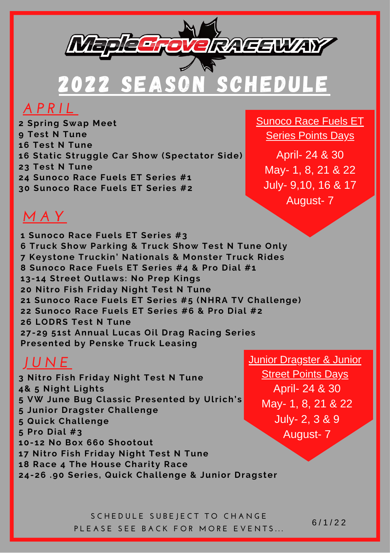

2022 SEASON SCHEDULE

#### *A P R I L*

 **Spring Swap Meet Test N Tune Test N Tune Static Struggle Car Show (Spectator Side) Test N Tune Sunoco Race Fuels ET Series #1 Sunoco Race Fuels ET Series #2**

Sunoco Race Fuels ET Series Points Days

April- 24 & 30 May- 1, 8, 21 & 22 July- 9,10, 16 & 17 August- 7

## *M A Y*

 **Sunoco Race Fuels ET Series #3 Truck Show Parking & Truck Show Test N Tune Only Keystone Truckin' Nationals & Monster Truck Rides Sunoco Race Fuels ET Series #4 & Pro Dial #1 13-14 Street Outlaws: No Prep Kings Nitro Fish Friday Night Test N Tune Sunoco Race Fuels ET Series #5 (NHRA TV Challenge) Sunoco Race Fuels ET Series #6 & Pro Dial #2 LODRS Test N Tune 27-29 51st Annual Lucas Oil Drag Racing Series Presented by Penske Truck Leasing**

## *J U N E*

 **Nitro Fish Friday Night Test N Tune 4& 5 Night Lights VW June Bug Classic Presented by Ulrich's Junior Dragster Challenge Quick Challenge Pro Dial #3 10-12 No Box 660 Shootout Nitro Fish Friday Night Test N Tune Race 4 The House Charity Race 24-26 .90 Series, Quick Challenge & Junior Dragster**

Junior Dragster & Junior **Street Points Days** April- 24 & 30 May- 1, 8, 21 & 22 July- 2, 3 & 9 August- 7

**S C H E D U L E S U B E J E C T T O C H A N G E** PLEASE SEE BACK FOR MORE EVENTS...

6 / 1 / 2 2